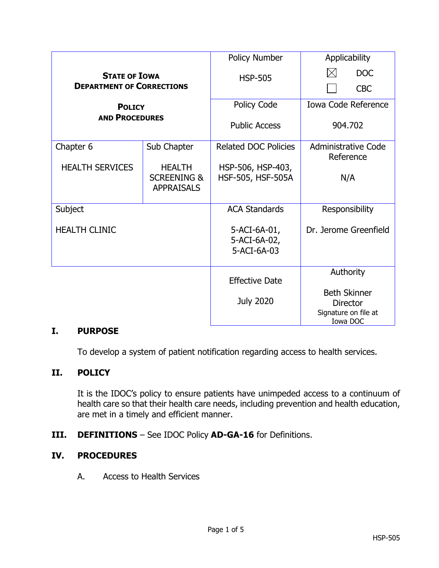|                                                                                                    |                                                              | Policy Number                                 | Applicability                                                              |
|----------------------------------------------------------------------------------------------------|--------------------------------------------------------------|-----------------------------------------------|----------------------------------------------------------------------------|
| <b>STATE OF IOWA</b><br><b>DEPARTMENT OF CORRECTIONS</b><br><b>POLICY</b><br><b>AND PROCEDURES</b> |                                                              | <b>HSP-505</b>                                | $\bowtie$<br><b>DOC</b>                                                    |
|                                                                                                    |                                                              |                                               | <b>CBC</b>                                                                 |
|                                                                                                    |                                                              | Policy Code                                   | <b>Iowa Code Reference</b>                                                 |
|                                                                                                    |                                                              | <b>Public Access</b>                          | 904.702                                                                    |
| Chapter 6                                                                                          | Sub Chapter                                                  | <b>Related DOC Policies</b>                   | Administrative Code<br>Reference                                           |
| <b>HEALTH SERVICES</b>                                                                             | <b>HEALTH</b><br><b>SCREENING &amp;</b><br><b>APPRAISALS</b> | HSP-506, HSP-403,<br><b>HSF-505, HSF-505A</b> | N/A                                                                        |
| Subject                                                                                            |                                                              | <b>ACA Standards</b>                          | Responsibility                                                             |
| <b>HEALTH CLINIC</b>                                                                               |                                                              | 5-ACI-6A-01,<br>5-ACI-6A-02,<br>5-ACI-6A-03   | Dr. Jerome Greenfield                                                      |
|                                                                                                    |                                                              | <b>Effective Date</b>                         | Authority                                                                  |
|                                                                                                    |                                                              | <b>July 2020</b>                              | <b>Beth Skinner</b><br><b>Director</b><br>Signature on file at<br>Iowa DOC |

## **I. PURPOSE**

To develop a system of patient notification regarding access to health services.

## **II. POLICY**

It is the IDOC's policy to ensure patients have unimpeded access to a continuum of health care so that their health care needs, including prevention and health education, are met in a timely and efficient manner.

**III. DEFINITIONS** – See IDOC Policy **AD-GA-16** for Definitions.

## **IV. PROCEDURES**

A. Access to Health Services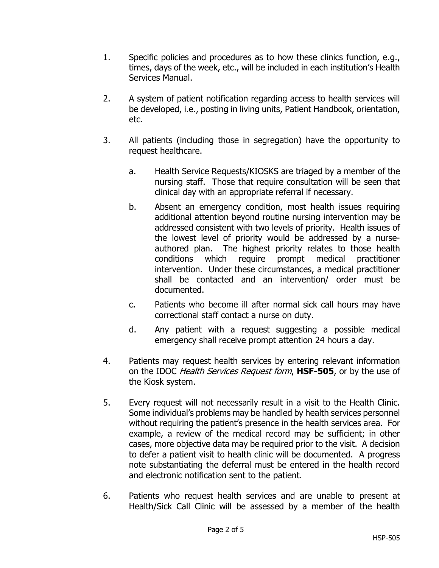- 1. Specific policies and procedures as to how these clinics function, e.g., times, days of the week, etc., will be included in each institution's Health Services Manual.
- 2. A system of patient notification regarding access to health services will be developed, i.e., posting in living units, Patient Handbook, orientation, etc.
- 3. All patients (including those in segregation) have the opportunity to request healthcare.
	- a. Health Service Requests/KIOSKS are triaged by a member of the nursing staff. Those that require consultation will be seen that clinical day with an appropriate referral if necessary.
	- b. Absent an emergency condition, most health issues requiring additional attention beyond routine nursing intervention may be addressed consistent with two levels of priority. Health issues of the lowest level of priority would be addressed by a nurseauthored plan. The highest priority relates to those health conditions which require prompt medical practitioner intervention. Under these circumstances, a medical practitioner shall be contacted and an intervention/ order must be documented.
	- c. Patients who become ill after normal sick call hours may have correctional staff contact a nurse on duty.
	- d. Any patient with a request suggesting a possible medical emergency shall receive prompt attention 24 hours a day.
- 4. Patients may request health services by entering relevant information on the IDOC Health Services Request form, **HSF-505**, or by the use of the Kiosk system.
- 5. Every request will not necessarily result in a visit to the Health Clinic. Some individual's problems may be handled by health services personnel without requiring the patient's presence in the health services area. For example, a review of the medical record may be sufficient; in other cases, more objective data may be required prior to the visit. A decision to defer a patient visit to health clinic will be documented. A progress note substantiating the deferral must be entered in the health record and electronic notification sent to the patient.
- 6. Patients who request health services and are unable to present at Health/Sick Call Clinic will be assessed by a member of the health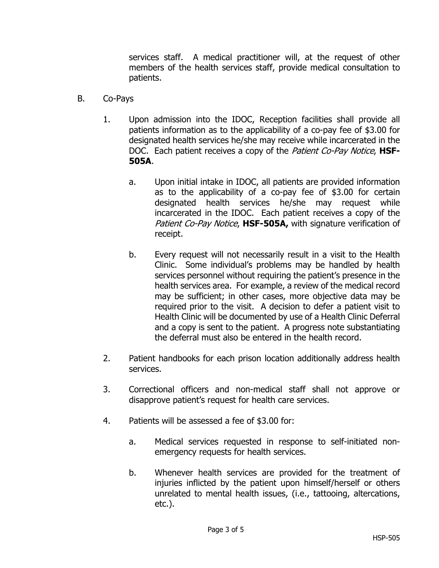services staff. A medical practitioner will, at the request of other members of the health services staff, provide medical consultation to patients.

- B. Co-Pays
	- 1. Upon admission into the IDOC, Reception facilities shall provide all patients information as to the applicability of a co-pay fee of \$3.00 for designated health services he/she may receive while incarcerated in the DOC. Each patient receives a copy of the Patient Co-Pay Notice, **HSF-505A**.
		- a. Upon initial intake in IDOC, all patients are provided information as to the applicability of a co-pay fee of \$3.00 for certain designated health services he/she may request while incarcerated in the IDOC. Each patient receives a copy of the Patient Co-Pay Notice, HSF-505A, with signature verification of receipt.
		- b. Every request will not necessarily result in a visit to the Health Clinic. Some individual's problems may be handled by health services personnel without requiring the patient's presence in the health services area. For example, a review of the medical record may be sufficient; in other cases, more objective data may be required prior to the visit. A decision to defer a patient visit to Health Clinic will be documented by use of a Health Clinic Deferral and a copy is sent to the patient. A progress note substantiating the deferral must also be entered in the health record.
	- 2. Patient handbooks for each prison location additionally address health services.
	- 3. Correctional officers and non-medical staff shall not approve or disapprove patient's request for health care services.
	- 4. Patients will be assessed a fee of \$3.00 for:
		- a. Medical services requested in response to self-initiated nonemergency requests for health services.
		- b. Whenever health services are provided for the treatment of injuries inflicted by the patient upon himself/herself or others unrelated to mental health issues, (i.e., tattooing, altercations, etc.).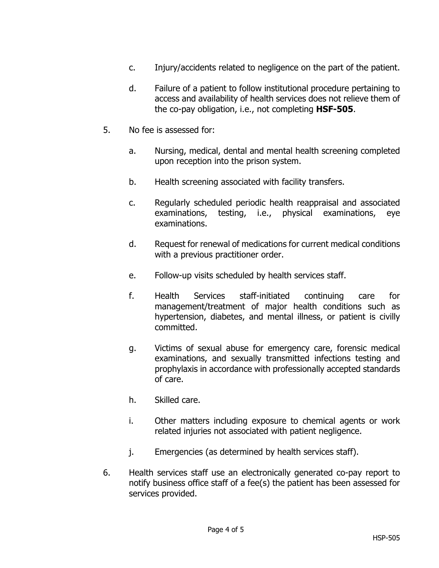- c. Injury/accidents related to negligence on the part of the patient.
- d. Failure of a patient to follow institutional procedure pertaining to access and availability of health services does not relieve them of the co-pay obligation, i.e., not completing **HSF-505**.
- 5. No fee is assessed for:
	- a. Nursing, medical, dental and mental health screening completed upon reception into the prison system.
	- b. Health screening associated with facility transfers.
	- c. Regularly scheduled periodic health reappraisal and associated examinations, testing, i.e., physical examinations, eye examinations.
	- d. Request for renewal of medications for current medical conditions with a previous practitioner order.
	- e. Follow-up visits scheduled by health services staff.
	- f. Health Services staff-initiated continuing care for management/treatment of major health conditions such as hypertension, diabetes, and mental illness, or patient is civilly committed.
	- g. Victims of sexual abuse for emergency care, forensic medical examinations, and sexually transmitted infections testing and prophylaxis in accordance with professionally accepted standards of care.
	- h. Skilled care.
	- i. Other matters including exposure to chemical agents or work related injuries not associated with patient negligence.
	- j. Emergencies (as determined by health services staff).
- 6. Health services staff use an electronically generated co-pay report to notify business office staff of a fee(s) the patient has been assessed for services provided.